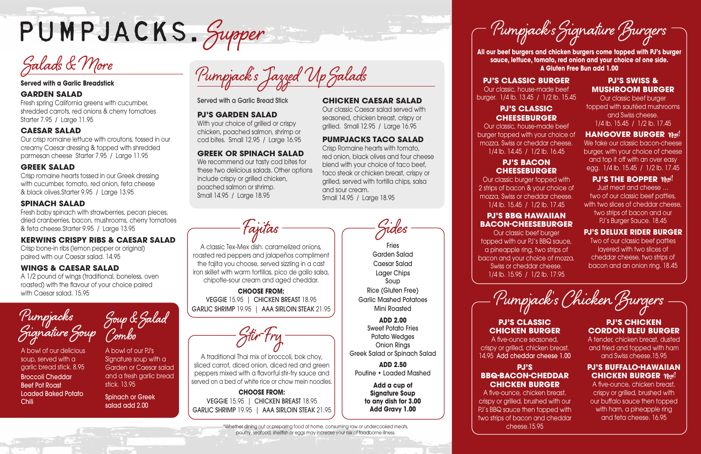

#### **Served with a Garlic Breadstick**

## **GARDEN SALAD**

Fresh spring California greens with cucumber, shredded carrots, red onions & cherry tomatoes Starter 7.95 / Large 11.95

## **CAESAR SALAD**

Our crisp romaine lettuce with croutons, tossed in our creamy Caesar dressing & topped with shredded parmesan cheese Starter 7.95 / Large 11.95

## **GREEK SALAD**

Crisp romaine hearts tossed in our Greek dressing with cucumber, tomato, red onion, feta cheese & black olives.Starter 9.95 / Large 13.95

## **SPINACH SALAD**

Fresh baby spinach with strawberries, pecan pieces, dried cranberries, bacon, mushrooms, cherry tomatoes & feta cheese.Starter 9.95 / Large 13.95

We recommend our tasty cod bites for these two delicious salads. Other options include crispy or grilled chicken, poached salmon or shrimp. Small 14.95 / Large 18.95

### **KERWINS CRISPY RIBS & CAESAR SALAD**

Crisp bone-in ribs (lemon pepper or original) paired with our Caesar salad. 14.95

## **WINGS & CAESAR SALAD**

A 1/2 pound of wings (traditional, boneless, oven roasted) with the flavour of your choice paired with Caesar salad. 15.95

Served with a Garlic Bread Stick

#### **PJ'S GARDEN SALAD**

With your choice of grilled or crispy chicken, poached salmon, shrimp or cod bites. Small 12.95 / Large 16.95

### **GREEK OR SPINACH SALAD**

### **CHICKEN CAESAR SALAD**

Our classic Caesar salad served with seasoned, chicken breast, crispy or grilled. Small 12.95 / Large 16.95

> We take our classic bacon-cheese burger, with your choice of cheese and top it off with an over easy egg. 1/4 lb. 15.45 / 1/2 lb. 17.45

### **PJ'S THE BOPPER YIes!**

#### **PUMPJACKS TACO SALAD**

Crisp Romaine hearts with tomato, red onion, black olives and four cheese blend with your choice of taco beef, taco steak or chicken breast, crispy or grilled, served with tortilla chips, salsa and sour cream.

Small 14.95 / Large 18.95

# **PJ'S CHICKEN CORDON BLEU BURGER**

## **PJ'S BUFFALO-HAWAIIAN CHICKEN BURGER**  $\text{New!}$

**All our beef burgers and chicken burgers come topped with PJ's burger sauce, lettuce, tomato, red onion and your choice of one side. A Gluten Free Bun add 1.00**

Pumpjack's Chicken Burgers

#### **PJ'S CLASSIC BURGER**

**Fries** Garden Salad Caesar Salad Lager Chips Soup Rice (Gluten Free) Garlic Mashed Potatoes Mini Roasted

Our classic, house-made beef burger. 1/4 lb. 13.45 / 1/2 lb. 15.45

#### **PJ'S CLASSIC CHEESEBURGER**

Our classic, house-made beef burger topped with your choice of mozza, Swiss or cheddar cheese. 1/4 lb. 14.45 / 1/2 lb. 16.45

## **PJ'S BACON CHEESEBURGER**

Our classic burger topped with 2 strips of bacon & your choice of mozza, Swiss or cheddar cheese. 1/4 lb. 15.45 / 1/2 lb. 17.45

## **PJ'S BBQ HAWAIIAN BACON-CHEESEBURGER**

Our classic beef burger topped with our PJ's BBQ sauce, a pineapple ring, two strips of bacon and your choice of mozza, Swiss or cheddar cheese. 1/4 lb. 15.95 / 1/2 lb. 17.95

## **PJ'S SWISS & MUSHROOM BURGER**

Our classic beef burger topped with sautéed mushrooms and Swiss cheese. 1/4 lb. 15.45 / 1/2 lb. 17.45

## **HANGOVER BURGER**  $\text{New!}$

Just meat and cheese … two of our classic beef patties, with two slices of cheddar cheese, two strips of bacon and our PJ's Burger Sauce. 18.45

## **PJ'S DELUXE RIDER BURGER**

Two of our classic beef patties layered with two slices of cheddar cheese, two strips of bacon and an onion ring. 18.45

# **PJ'S CLASSIC CHICKEN BURGER**

A five-ounce seasoned, crispy or grilled, chicken breast. 14.95 Add cheddar cheese 1.00

## **PJ'S BBQ-BACON-CHEDDAR CHICKEN BURGER**

A five-ounce, chicken breast, crispy or grilled, brushed with our PJ's BBQ sauce then topped with two strips of bacon and cheddar cheese.15.95

A tender, chicken breast, dusted and fried and topped with ham and Swiss cheese.15.95

A five-ounce, chicken breast, crispy or grilled, brushed with our buffalo sauce then topped with ham, a pineapple ring and feta cheese. 16.95

Pumpjack's Signature Burgers

Sides

**ADD 2.00** Sweet Potato Fries Potato Wedges Onion Rings Greek Salad or Spinach Salad

**ADD 2.50** Poutine • Loaded Mashed

> **Add a cup of Signature Soup to any dish for 3.00 Add Gravy 1.00**

Fajitas

A classic Tex-Mex dish. caramelized onions, roasted red peppers and jalapeños compliment the fajita you choose, served sizzling in a cast iron skillet with warm tortillas, pico de gallo salsa, chipotle-sour cream and aged cheddar. **CHOOSE FROM:** VEGGIE 15.95 | CHICKEN BREAST 18.95 GARLIC SHRIMP 19.95 | AAA SIRLOIN STEAK 21.95

Stir-Fry

A traditional Thai mix of broccoli, bok choy, sliced carrot, diced onion, diced red and green peppers mixed with a flavorful stir-fry sauce and served on a bed of white rice or chow mein noodles. **CHOOSE FROM:** VEGGIE 15.95 | CHICKEN BREAST 18.95 GARLIC SHRIMP 19.95 | AAA SIRLOIN STEAK 21.95

> \*Whether dining out or preparing food at home, consuming raw or undercooked meats, poultry, seafood, shellfish or eggs may increase your risk of foodborne illness.

**Pumpjacks Signature Soup**

A bowl of our delicious soup, served with a garlic bread stick. 8.95 Broccoli Cheddar Beef Pot Roast Loaded Baked Potato Chili

A bowl of our PJ's Signature soup with a Garden or Caesar salad and a fresh garlic bread stick. 13.95

Spinach or Greek salad add 2.00

Salads & More<br>Served with a Garlic Breadstick<br>Served with a Garlic Breadstick

**Soup & Salad Combo**